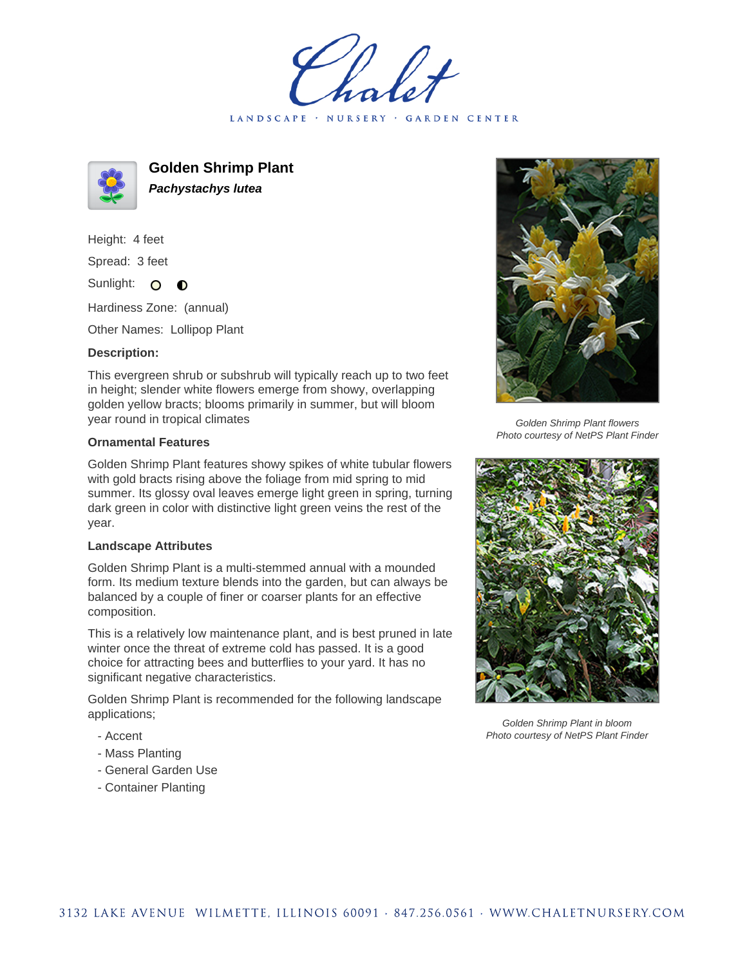LANDSCAPE · NURSERY · GARDEN CENTER



**Golden Shrimp Plant Pachystachys lutea**

Height: 4 feet Spread: 3 feet

Sunlight: O  $\bullet$ 

Hardiness Zone: (annual)

Other Names: Lollipop Plant

## **Description:**

This evergreen shrub or subshrub will typically reach up to two feet in height; slender white flowers emerge from showy, overlapping golden yellow bracts; blooms primarily in summer, but will bloom year round in tropical climates

## **Ornamental Features**

Golden Shrimp Plant features showy spikes of white tubular flowers with gold bracts rising above the foliage from mid spring to mid summer. Its glossy oval leaves emerge light green in spring, turning dark green in color with distinctive light green veins the rest of the year.

## **Landscape Attributes**

Golden Shrimp Plant is a multi-stemmed annual with a mounded form. Its medium texture blends into the garden, but can always be balanced by a couple of finer or coarser plants for an effective composition.

This is a relatively low maintenance plant, and is best pruned in late winter once the threat of extreme cold has passed. It is a good choice for attracting bees and butterflies to your yard. It has no significant negative characteristics.

Golden Shrimp Plant is recommended for the following landscape applications;

- Accent
- Mass Planting
- General Garden Use
- Container Planting



Golden Shrimp Plant flowers Photo courtesy of NetPS Plant Finder



Golden Shrimp Plant in bloom Photo courtesy of NetPS Plant Finder